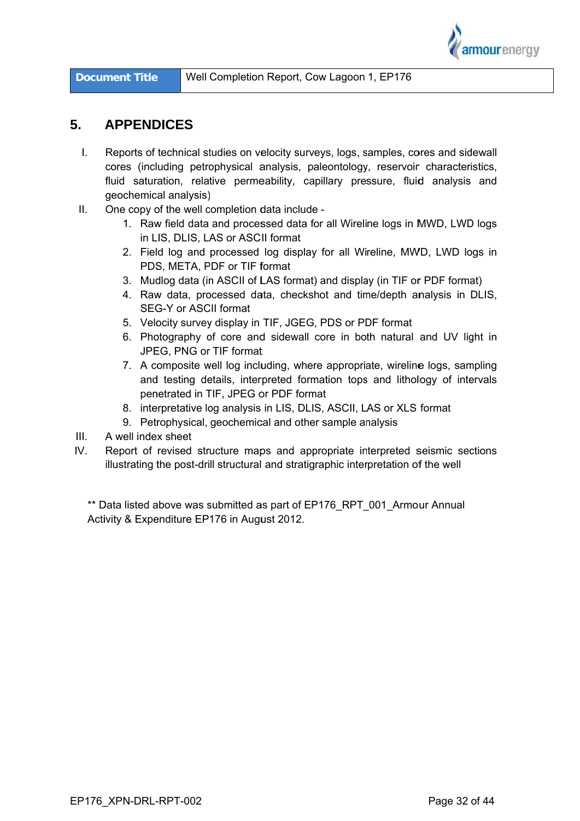

# $5<sub>-</sub>$ **APPENDICES**

- $\mathbf{L}$ Reports of technical studies on velocity surveys, logs, samples, cores and sidewall cores (including petrophysical analysis, paleontology, reservoir characteristics, fluid saturation, relative permeability, capillary pressure, fluid analysis and geochemical analysis)
- $\Pi$ . One copy of the well completion data include -
	- 1. Raw field data and processed data for all Wireline logs in MWD, LWD logs in LIS. DLIS. LAS or ASCII format
	- 2. Field log and processed log display for all Wireline, MWD, LWD logs in PDS, META, PDF or TIF format
	- 3. Mudlog data (in ASCII of LAS format) and display (in TIF or PDF format)
	- 4. Raw data, processed data, checkshot and time/depth analysis in DLIS, SEG-Y or ASCII format
	- 5. Velocity survey display in TIF, JGEG, PDS or PDF format
	- 6. Photography of core and sidewall core in both natural and UV light in JPEG, PNG or TIF format
	- 7. A composite well log including, where appropriate, wireline logs, sampling and testing details, interpreted formation tops and lithollogy of intervals penetrated in TIF, JPEG or PDF format
	- 8. interpretative log analysis in LIS, DLIS, ASCII, LAS or XLS format
	- 9. Petrophysical, geochemical and other sample analysis
- $III.$ A well index sheet
- $IV.$ Report of revised structure maps and appropriate interpreted seismic sections illustrating the post-drill structural and stratigraphic interpretation of the well

\*\* Data listed above was submitted as part of EP176\_RPT\_001\_Armour Annual Activity & Expenditure EP176 in August 2012.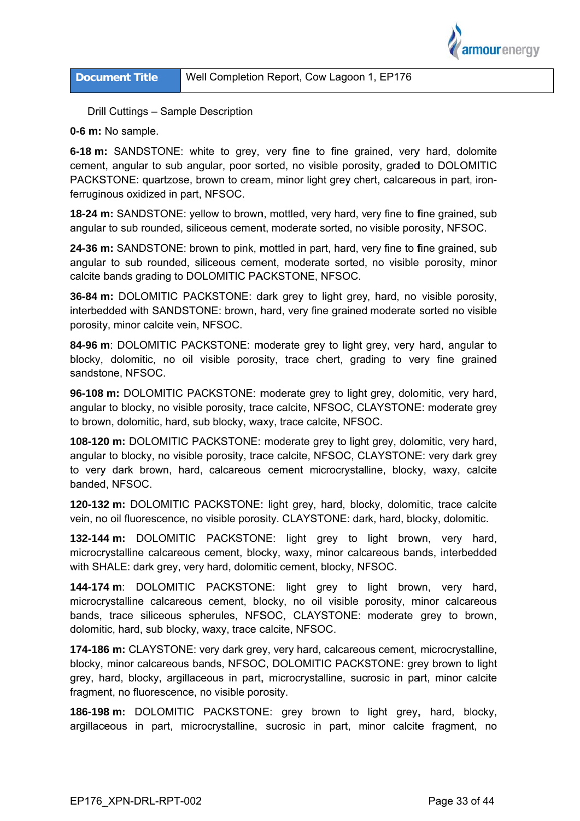

Drill Cuttings - Sample Description

0-6 m: No sample.

6-18 m: SANDSTONE: white to grey, very fine to fine grained, very hard, dolomite cement, angular to sub angular, poor sorted, no visible porosity, graded to DOLOMITIC PACKSTONE: quartzose, brown to cream, minor light grey chert, calcareous in part, ironferruginous oxidized in part, NFSOC.

18-24 m: SANDSTONE: yellow to brown, mottled, very hard, very fine to fine grained, sub angular to sub rounded, siliceous cement, moderate sorted, no visible porosity, NFSOC.

24-36 m: SANDSTONE: brown to pink, mottled in part, hard, very fine to fine grained, sub angular to sub rounded, siliceous cement, moderate sorted, no visible porosity, minor calcite bands grading to DOLOMITIC PACKSTONE, NFSOC.

36-84 m: DOLOMITIC PACKSTONE: dark grey to light grey, hard, no visible porosity, interbedded with SANDSTONE: brown, hard, very fine grained moderate sorted no visible porosity, minor calcite vein, NFSOC.

84-96 m: DOLOMITIC PACKSTONE: moderate grey to light grey, very hard, angular to blocky, dolomitic, no oil visible porosity, trace chert, grading to very fine grained sandstone, NFSOC.

96-108 m: DOLOMITIC PACKSTONE: moderate grey to light grey, dolomitic, very hard, angular to blocky, no visible porosity, trace calcite, NFSOC, CLAYSTONE: moderate grey to brown, dolomitic, hard, sub blocky, waxy, trace calcite, NFSOC.

108-120 m: DOLOMITIC PACKSTONE: moderate grey to light grey, dolomitic, very hard, angular to blocky, no visible porosity, trace calcite, NFSOC, CLAYSTONE: very dark grey to very dark brown, hard, calcareous cement microcrystalline, blocky, waxy, calcite banded, NFSOC.

120-132 m: DOLOMITIC PACKSTONE: light grey, hard, blocky, dolomitic, trace calcite vein, no oil fluorescence, no visible porosity, CLAYSTONE; dark, hard, blocky, dolomitic,

132-144 m: DOLOMITIC PACKSTONE: light grey to light brown, very hard, microcrystalline calcareous cement, blocky, waxy, minor calcareous bands, interbedded with SHALE: dark grey, very hard, dolomitic cement, blocky, NFSOC.

144-174 m: DOLOMITIC PACKSTONE: light grey to light brown, very hard, microcrystalline calcareous cement, blocky, no oil visible porosity, minor calcareous bands, trace siliceous spherules, NFSOC, CLAYSTONE: moderate grey to brown, dolomitic, hard, sub blocky, waxy, trace calcite, NFSOC.

174-186 m: CLAYSTONE: very dark grey, very hard, calcareous cement, microcrystalline, blocky, minor calcareous bands, NFSOC, DOLOMITIC PACKSTONE: grey brown to light grey, hard, blocky, argillaceous in part, microcrystalline, sucrosic in part, minor calcite fragment, no fluorescence, no visible porosity.

186-198 m: DOLOMITIC PACKSTONE: grey brown to light grey, hard, blocky, argillaceous in part, microcrystalline, sucrosic in part, minor calcite fragment, no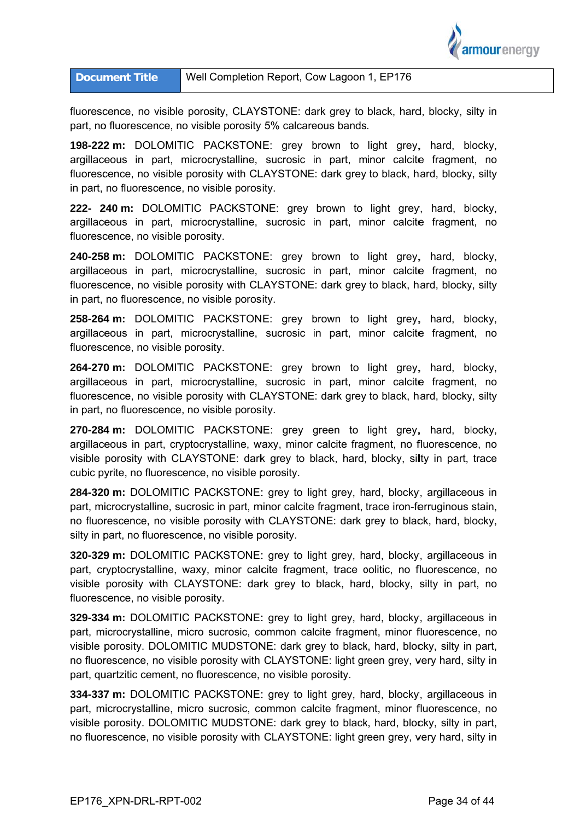

fluorescence, no visible porosity, CLAYSTONE: dark grey to black, hard, blocky, silty in part, no fluorescence, no visible porosity 5% calcareous bands.

**198-222 m:** DOLOMITIC PACKSTONE: grey brown to light grey, hard, blocky, argillaceous in part, microcrystalline, sucrosic in part, minor calcite fragment, no fluorescence, no visible porosity with CLAYSTONE: dark grey to black, hard, blocky, silty in part, no fluorescence, no visible porosity.

222- 240 m: DOLOMITIC PACKSTONE: grey brown to light grey, hard, blocky, argillaceous in part, microcrystalline, sucrosic in part, minor calcite fragment, no fluorescence, no visible porosity.

240-258 m: DOLOMITIC PACKSTONE: grey brown to light grey, hard, blocky, argillaceous in part, microcrystalline, sucrosic in part, minor calcite fragment, no fluorescence, no visible porosity with CLAYSTONE: dark grey to black, hard, blocky, silty in part, no fluorescence, no visible porosity.

258-264 m: DOLOMITIC PACKSTONE: grey brown to light grey, hard, blocky, argillaceous in part, microcrystalline, sucrosic in part, minor calcite fragment, no fluorescence, no visible porosity.

264-270 m: DOLOMITIC PACKSTONE: grey brown to light grey, hard, blocky, argillaceous in part, microcrystalline, sucrosic in part, minor calcite fragment, no fluorescence, no visible porosity with CLAYSTONE: dark grey to black, hard, blocky, silty in part, no fluorescence, no visible porosity.

**270-284 m:** DOLOMITIC PACKSTONE: grey green to light grey, hard, blocky, argillaceous in part, cryptocrystalline, waxy, minor calcite fragment, no fluorescence, no visible porosity with CLAYSTONE: dark grey to black, hard, blocky, silty in part, trace cubic pyrite, no fluorescence, no visible porosity.

284-320 m: DOLOMITIC PACKSTONE: grey to light grey, hard, blocky, argillaceous in part, microcrystalline, sucrosic in part, minor calcite fragment, trace iron-ferruginous stain, no fluorescence, no visible porosity with CLAYSTONE: dark grey to black, hard, blocky, silty in part, no fluorescence, no visible porosity.

**320-329 m:** DOLOMITIC PACKSTONE: grey to light grey, hard, blocky, argillaceous in part, cryptocrystalline, waxy, minor calcite fragment, trace oolitic, no fluorescence, no visible porosity with CLAYSTONE: dark grey to black, hard, blocky, silty in part, no fluorescence, no visible porosity.

**329-334 m:** DOLOMITIC PACKSTONE: grey to light grey, hard, blocky, argillaceous in part, microcrystalline, micro sucrosic, common calcite fragment, minor fluorescence, no visible porosity. DOLOMITIC MUDSTONE: dark grey to black, hard, blocky, silty in part, no fluorescence, no visible porosity with CLAYSTONE: light green grey, very hard, silty in part, quartzitic cement, no fluorescence, no visible porosity.

**334-337 m:** DOLOMITIC PACKSTONE: grey to light grey, hard, blocky, argillaceous in part, microcrystalline, micro sucrosic, common calcite fragment, minor fluorescence, no visible porosity. DOLOMITIC MUDSTONE: dark grey to black, hard, blocky, silty in part, no fluorescence, no visible porosity with CLAYSTONE: light green grey, very hard, silty in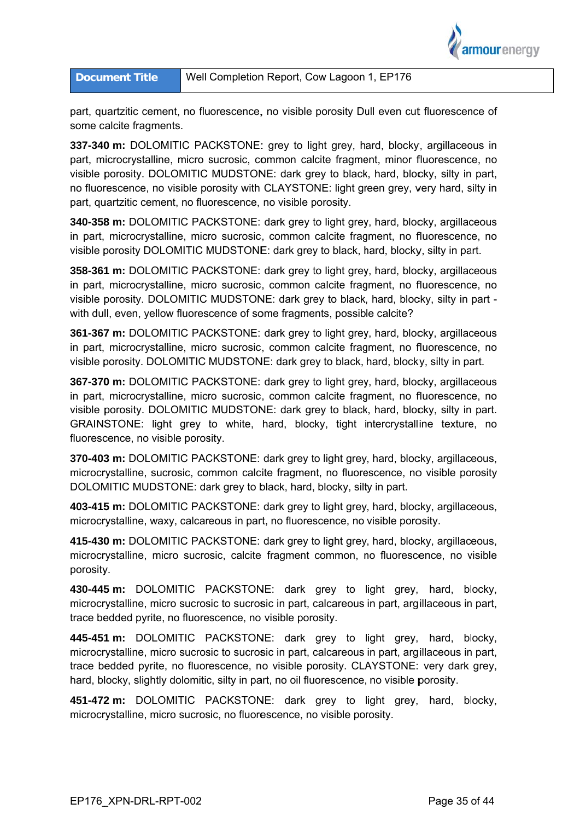

## Well Completion Report, Cow Lagoon 1, EP176 **Document Title**

part, quartzitic cement, no fluorescence, no visible porosity Dull even cut fluorescence of some calcite fragments.

337-340 m: DOLOMITIC PACKSTONE: grey to light grey, hard, blocky, argillaceous in part, microcrystalline, micro sucrosic, common calcite fragment, minor fluorescence, no visible porosity. DOLOMITIC MUDSTONE: dark grey to black, hard, blocky, silty in part, no fluorescence, no visible porosity with CLAYSTONE: light green grey, very hard, silty in part, quartzitic cement, no fluorescence, no visible porosity.

340-358 m: DOLOMITIC PACKSTONE: dark grey to light grey, hard, blocky, argillaceous in part, microcrystalline, micro sucrosic, common calcite fragment, no fluorescence, no visible porosity DOLOMITIC MUDSTONE: dark grey to black, hard, blocky, silty in part.

358-361 m: DOLOMITIC PACKSTONE: dark grey to light grey, hard, blocky, argillaceous in part, microcrystalline, micro sucrosic, common calcite fragment, no fluorescence, no visible porosity. DOLOMITIC MUDSTONE: dark grey to black, hard, blocky, silty in part with dull, even, yellow fluorescence of some fragments, possible calcite?

361-367 m: DOLOMITIC PACKSTONE: dark grey to light grey, hard, blocky, argillaceous in part, microcrystalline, micro sucrosic, common calcite fragment, no fluorescence, no visible porosity. DOLOMITIC MUDSTONE: dark grey to black, hard, blocky, silty in part.

367-370 m: DOLOMITIC PACKSTONE: dark grey to light grey, hard, blocky, argillaceous in part, microcrystalline, micro sucrosic, common calcite fragment, no fluorescence, no visible porosity. DOLOMITIC MUDSTONE: dark grey to black, hard, blocky, silty in part. GRAINSTONE: light grey to white, hard, blocky, tight intercrystalline texture, no fluorescence, no visible porosity.

370-403 m: DOLOMITIC PACKSTONE: dark grey to light grey, hard, blocky, argillaceous, microcrystalline, sucrosic, common calcite fragment, no fluorescence, no visible porosity DOLOMITIC MUDSTONE: dark grey to black, hard, blocky, silty in part.

403-415 m: DOLOMITIC PACKSTONE: dark grey to light grey, hard, blocky, argillaceous, microcrystalline, waxy, calcareous in part, no fluorescence, no visible porosity.

415-430 m: DOLOMITIC PACKSTONE: dark grey to light grey, hard, blocky, argillaceous, microcrystalline, micro sucrosic, calcite fragment common, no fluorescence, no visible porosity.

430-445 m: DOLOMITIC PACKSTONE: dark grey to light grey, hard, blocky, microcrystalline, micro sucrosic to sucrosic in part, calcareous in part, argillaceous in part, trace bedded pyrite, no fluorescence, no visible porosity.

445-451 m: DOLOMITIC PACKSTONE: dark grey to light grey, hard, blocky, microcrystalline, micro sucrosic to sucrosic in part, calcareous in part, argillaceous in part, trace bedded pyrite, no fluorescence, no visible porosity. CLAYSTONE: very dark grey, hard, blocky, slightly dolomitic, silty in part, no oil fluorescence, no visible porosity.

451-472 m: DOLOMITIC PACKSTONE: dark grey to light grey, hard, blocky, microcrystalline, micro sucrosic, no fluorescence, no visible porosity.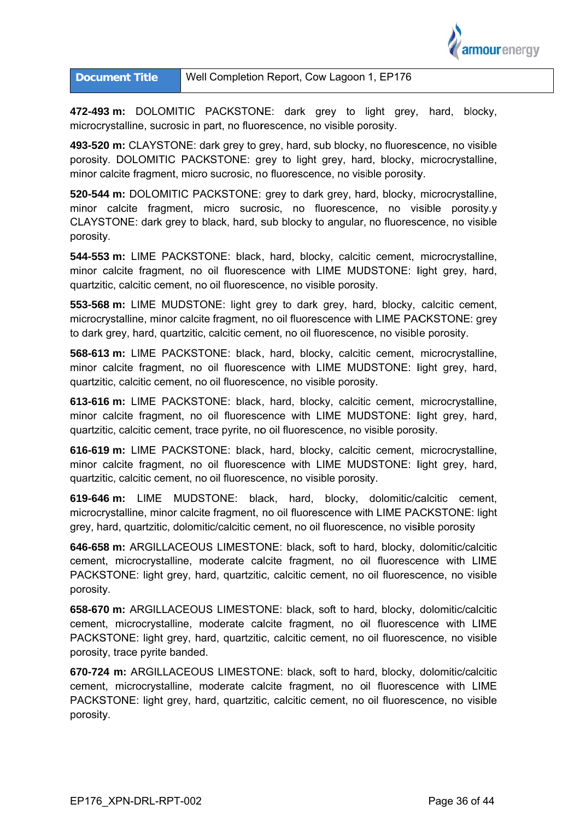

| <b>Document Title</b> | Well Completion Report, Cow Lagoon 1, EP176 |
|-----------------------|---------------------------------------------|
|-----------------------|---------------------------------------------|

472-493 m: DOLOMITIC PACKSTONE: dark grey to light grey, hard, blocky, microcrystalline, sucrosic in part, no fluorescence, no visible porosity.

493-520 m: CLAYSTONE: dark grey to grey, hard, sub blocky, no fluorescence, no visible porosity. DOLOMITIC PACKSTONE: grey to light grey, hard, blocky, microcrystalline, minor calcite fragment, micro sucrosic, no fluorescence, no visible porosity.

520-544 m: DOLOMITIC PACKSTONE: grey to dark grey, hard, blocky, microcrystalline, minor calcite fragment, micro sucrosic, no fluorescence, no visible porosity.y CLAYSTONE: dark grey to black, hard, sub blocky to angular, no fluorescence, no visible porosity.

544-553 m: LIME PACKSTONE: black, hard, blocky, calcitic cement, microcrystalline, minor calcite fragment, no oil fluorescence with LIME MUDSTONE: light grey, hard, quartzitic, calcitic cement, no oil fluorescence, no visible porosity.

**553-568 m:** LIME MUDSTONE: light grey to dark grey, hard, blocky, calcitic cement, microcrystalline, minor calcite fragment, no oil fluorescence with LIME PACKSTONE: grey to dark grey, hard, quartzitic, calcitic cement, no oil fluorescence, no visible porosity.

568-613 m: LIME PACKSTONE: black, hard, blocky, calcitic cement, microcrystalline, minor calcite fragment, no oil fluorescence with LIME MUDSTONE: light grey, hard, quartzitic, calcitic cement, no oil fluorescence, no visible porosity.

613-616 m: LIME PACKSTONE: black, hard, blocky, calcitic cement, microcrystalline, minor calcite fragment, no oil fluorescence with LIME MUDSTONE: light grey, hard, quartzitic, calcitic cement, trace pyrite, no oil fluorescence, no visible porosity.

616-619 m: LIME PACKSTONE: black, hard, blocky, calcitic cement, microcrystalline, minor calcite fragment, no oil fluorescence with LIME MUDSTONE: light grey, hard, quartzitic, calcitic cement, no oil fluorescence, no visible porosity.

**619-646 m:** LIME MUDSTONE: black, hard, blocky, dolomitic/calcitic cement, microcrystalline, minor calcite fragment, no oil fluorescence with LIME PACKSTONE: light grey, hard, quartzitic, dolomitic/calcitic cement, no oil fluorescence, no visible porosity grey, hard, quartzitic, dolomitic/calcitic cement, no oil fluorescence, no vis**i**ble porosity<br>**646-658 m:** ARGILLACEOUS LIMESTONE: black, soft to hard, blocky, dolomitic/calcitic

cement, microcrystalline, moderate calcite fragment, no oil fluorescence with LIME PACKSTONE: light grey, hard, quartzitic, calcitic cement, no oil fluorescence, no visible porosity.

658-670 m: ARGILLACEOUS LIMESTONE: black, soft to hard, blocky, dolomitic/calcitic cement, microcrystalline, moderate calcite fragment, no oil fluorescence with LIME PACKSTONE: light grey, hard, quartzitic, calcitic cement, no oil fluorescence, no visible porosity, trace pyrite banded.

670-724 m: ARGILLACEOUS LIMESTONE: black, soft to hard, blocky, dolomitic/calcitic cement, microcrystalline, moderate calcite fragment, no oil fluorescence with LIME PACKSTONE: light grey, hard, quartzitic, calcitic cement, no oil fluorescence, no visible porosity.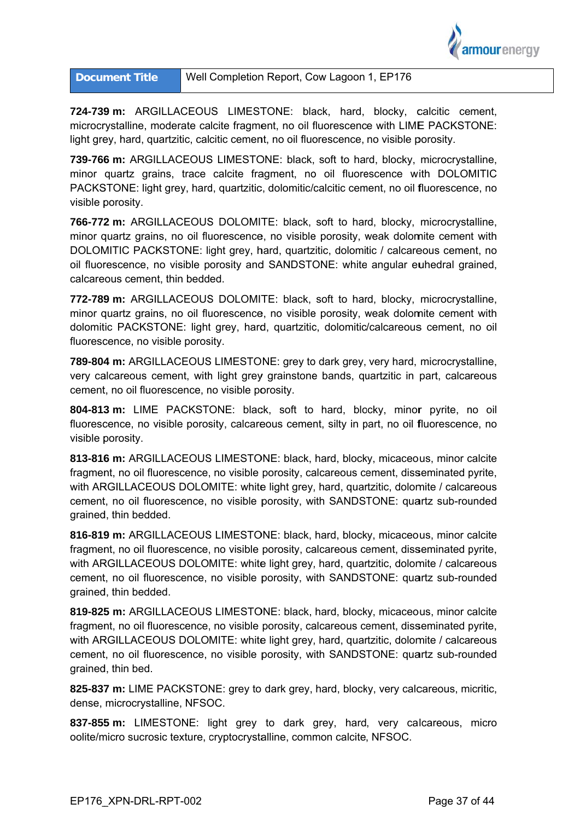

724-739 m: ARGILLACEOUS LIMESTONE: black, hard, blocky, calcitic cement, microcrystalline, moderate calcite fragment, no oil fluorescence with LIME PACKSTONE: light grey, hard, quartzitic, calcitic cement, no oil fluorescence, no visible porosity.

739-766 m: ARGILLACEOUS LIMESTONE: black, soft to hard, blocky, microcrystalline, minor quartz grains, trace calcite fragment, no oil fluorescence with DOLOMITIC PACKSTONE: light grey, hard, quartzitic, dolomitic/calcitic cement, no oil fluorescence, no visible p porosity.

**766-772 m:** ARGILLACEOUS DOLOMITE: black, soft to hard, blocky, microcrystalline, minor quartz grains, no oil fluorescence, no visible porosity, weak dolomite cement with DOLOMITIC PACKSTONE: light grey, hard, quartzitic, dolomitic / calcareous cement, no oil fluorescence, no visible porosity and SANDSTONE: white angular euhedral grained, calcare ous cemen t, thin bedd ed.

772-789 m: ARGILLACEOUS DOLOMITE: black, soft to hard, blocky, microcrystalline, minor quartz grains, no oil fluorescence, no visible porosity, weak dolomite cement with dolomitic PACKSTONE: light grey, hard, quartzitic, dolomitic/calcareous cement, no oil fluorescence, no visible porosity.

**789-804 m:** ARGILLACEOUS LIMESTONE: grey to dark grey, very hard, microcrystalline, very calcareous cement, with light grey grainstone bands, quartzitic in part, calcareous cement, no oil fluorescence, no visible porosity.

**804-813 m:** LIME PACKSTONE: black, soft to hard, blocky, minor pyrite, no oil fluorescence, no visible porosity, calcareous cement, silty in part, no oil fluorescence, no visible p porosity.

813-816 m: ARGILLACEOUS LIMESTONE: black, hard, blocky, micaceous, minor calcite fragment, no oil fluorescence, no visible porosity, calcareous cement, disseminated pyrite, with ARGILLACEOUS DOLOMITE: white light grey, hard, quartzitic, dolomite / calcareous cement, no oil fluorescence, no visible porosity, with SANDSTONE: quartz sub-rounded grained, thin bedded.

816-819 m: ARGILLACEOUS LIMESTONE: black, hard, blocky, micaceous, minor calcite fragment, no oil fluorescence, no visible porosity, calcareous cement, disseminated pyrite, with ARGILLACEOUS DOLOMITE: white light grey, hard, quartzitic, dolomite / calcareous cement, no oil fluorescence, no visible porosity, with SANDSTONE: quartz sub-rounded grained, thin bedded.

819-825 m: ARGILLACEOUS LIMESTONE: black, hard, blocky, micaceous, minor calcite fragment, no oil fluorescence, no visible porosity, calcareous cement, disseminated pyrite, with ARGILLACEOUS DOLOMITE: white light grey, hard, quartzitic, dolomite / calcareous cement, no oil fluorescence, no visible porosity, with SANDSTONE: quartz sub-rounded grained, thin bed.

825-837 m: LIME PACKSTONE: grey to dark grey, hard, blocky, very calcareous, micritic, dense, microcrystalline, NFSOC.

837-855 m: LIMESTONE: light grey to dark grey, hard, very calcareous, micro oolite/micro sucrosic texture, cryptocrystalline, common calcite, NFSOC.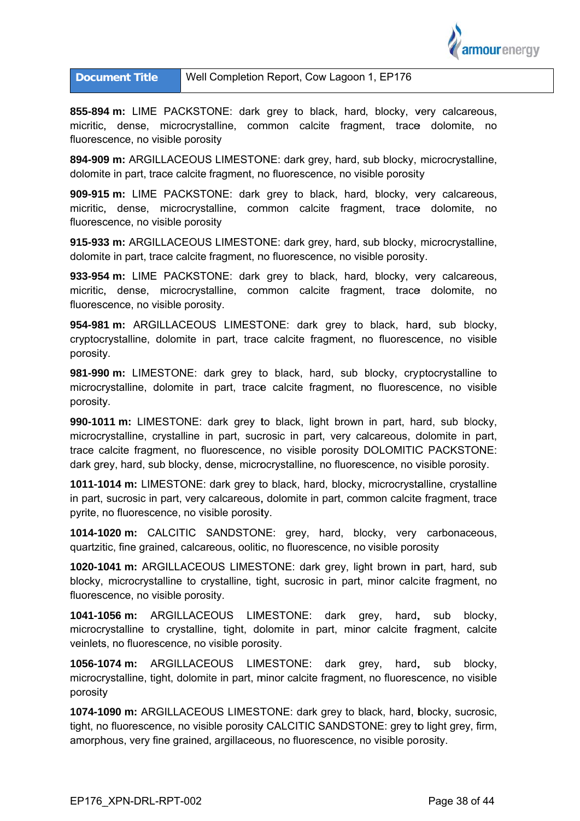

## Well Completion Report, Cow Lagoon 1, EP176 **Document Title**

855-894 m: LIME PACKSTONE: dark grey to black, hard, blocky, very calcareous, micritic, dense, microcrystalline, common calcite fragment, trace dolomite, no fluorescence, no visible porosity

894-909 m: ARGILLACEOUS LIMESTONE: dark grey, hard, sub blocky, microcrystalline, dolomite in part, trace calcite fragment, no fluorescence, no visible porosity

909-915 m: LIME PACKSTONE: dark grey to black, hard, blocky, very calcareous, micritic, dense, microcrystalline, common calcite fragment, trace dolomite, no fluorescence, no visible porosity

915-933 m: ARGILLACEOUS LIMESTONE: dark grey, hard, sub blocky, microcrystalline, dolomite in part, trace calcite fragment, no fluorescence, no visible porosity.

933-954 m: LIME PACKSTONE: dark grev to black, hard, blocky, very calcareous, micritic, dense, microcrystalline, common calcite fragment, trace dolomite, no fluorescence, no visible porosity.

954-981 m: ARGILLACEOUS LIMESTONE: dark grey to black, hard, sub blocky, cryptocrystalline, dolomite in part, trace calcite fragment, no fluorescence, no visible porosity.

981-990 m: LIMESTONE: dark grey to black, hard, sub blocky, cryptocrystalline to microcrystalline, dolomite in part, trace calcite fragment, no fluorescence, no visible porosity.

990-1011 m: LIMESTONE: dark grey to black, light brown in part, hard, sub blocky, microcrystalline, crystalline in part, sucrosic in part, very calcareous, dolomite in part, trace calcite fragment, no fluorescence, no visible porosity DOLOMITIC PACKSTONE: dark grey, hard, sub blocky, dense, microcrystalline, no fluorescence, no visible porosity.

1011-1014 m: LIMESTONE: dark grey to black, hard, blocky, microcrystalline, crystalline in part, sucrosic in part, very calcareous, dolomite in part, common calcite fragment, trace pyrite, no fluorescence, no visible porosity.

1014-1020 m: CALCITIC SANDSTONE: grey, hard, blocky, very carbonaceous, quartzitic, fine grained, calcareous, oolitic, no fluorescence, no visible porosity

1020-1041 m: ARGILLACEOUS LIMESTONE: dark grey, light brown in part, hard, sub blocky, microcrystalline to crystalline, tight, sucrosic in part, minor calcite fragment, no fluorescence, no visible porosity.

1041-1056 m: ARGILLACEOUS LIMESTONE: dark grey, hard. sub blocky. microcrystalline to crystalline, tight, dolomite in part, minor calcite fragment, calcite veinlets, no fluorescence, no visible porosity.

1056-1074 m: ARGILLACEOUS LIMESTONE: hard, dark grey, sub blocky, microcrystalline, tight, dolomite in part, minor calcite fragment, no fluorescence, no visible porosity

1074-1090 m: ARGILLACEOUS LIMESTONE: dark grey to black, hard, blocky, sucrosic, tight, no fluorescence, no visible porosity CALCITIC SANDSTONE: grey to light grey, firm, amorphous, very fine grained, argillaceous, no fluorescence, no visible porosity.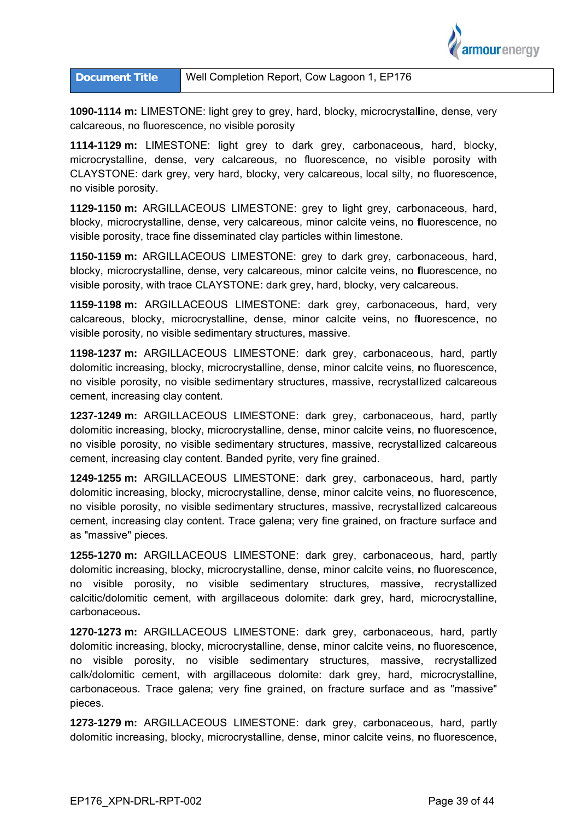

1090-1114 m: LIMESTONE: light grey to grey, hard, blocky, microcrystalline, dense, very calcareous, no fluorescence, no visible porosity

**1114-1129 m:** LIMESTONE: light grey to dark grey, carbonaceous, hard, blocky, microcrystalline, dense, very calcareous, no fluorescence, no visible porosity with CLAYSTONE: dark grey, very hard, blocky, very calcareous, local silty, no fluorescence, no visib ble porosity.

no visible porosity.<br>**1129-1150 m:** ARGILLACEOUS LIMESTONE: grey to light grey, carbonaceous, hard, blocky, microcrystalline, dense, very calcareous, minor calcite veins, no fluorescence, no visible porosity, trace fine disseminated clay particles within limestone.

**1150-1159 m:** ARGILLACEOUS LIMESTONE: grey to dark grey, carbonaceous, hard, blocky, microcrystalline, dense, very calcareous, minor calcite veins, no fluorescence, no visible porosity, with trace CLAYSTONE: dark grey, hard, blocky, very calcareous.

**1159-1198 m:** ARGILLACEOUS LIMESTONE: dark grey, carbonaceous, hard, very calcareous, blocky, microcrystalline, dense, minor calcite veins, no fluorescence, no visible porosity, no visible sedimentary structures, massive.

**1198-1237 m:** ARGILLACEOUS LIMESTONE: dark grey, carbonaceous, hard, partly dolomitic increasing, blocky, microcrystalline, dense, minor calcite veins, no fluorescence, no visible porosity, no visible sedimentary structures, massive, recrystallized calcareous cement, increasing clay content.

1237-1249 m: ARGILLACEOUS LIMESTONE: dark grey, carbonaceous, hard, partly dolomitic increasing, blocky, microcrystalline, dense, minor calcite veins, no fluorescence, no visible porosity, no visible sedimentary structures, massive, recrystallized calcareous cement, increasing clay content. Banded pyrite, very fine grained.

1249-1255 m: ARGILLACEOUS LIMESTONE: dark grey, carbonaceous, hard, partly dolomitic increasing, blocky, microcrystalline, dense, minor calcite veins, no fluorescence, no visible porosity, no visible sedimentary structures, massive, recrystallized calcareous cement, increasing clay content. Trace galena; very fine grained, on fracture surface and as "massive" pieces.

1255-1270 m: ARGILLACEOUS LIMESTONE: dark grey, carbonaceous, hard, partly dolomitic increasing, blocky, microcrystalline, dense, minor calcite veins, no fluorescence, no visible porosity, no visible sedimentary structures, massive, recrystallized calcitic/dolomitic cement, with argillaceous dolomite: dark grey, hard, microcrystalline, carbona aceous**.** 

1270-1273 m: ARGILLACEOUS LIMESTONE: dark grey, carbonaceous, hard, partly dolomitic increasing, blocky, microcrystalline, dense, minor calcite veins, no fluorescence, no visible porosity, no visible sedimentary structures, massive, recrystallized calk/dolomitic cement, with argillaceous dolomite: dark grey, hard, microcrystalline, carbonaceous. Trace galena; very fine grained, on fracture surface and as "massive" pieces.

**1273-1279 m:** ARGILLACEOUS LIMESTONE: dark grey, carbonaceous, hard, partly dolomitic increasing, blocky, microcrystalline, dense, minor calcite veins, no fluorescence,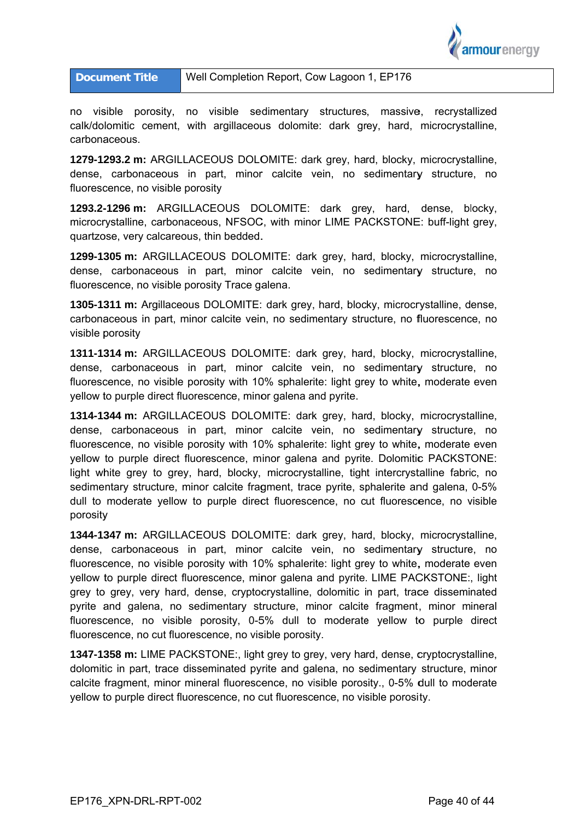

no visible porosity, no visible sedimentary structures, massive, recrystallized calk/dolomitic cement, with argillaceous dolomite: dark grey, hard, microcrystalline, carbonaceous.

1279-1293.2 m: ARGILLACEOUS DOLOMITE: dark grey, hard, blocky, microcrystalline, dense, carbonaceous in part, minor calcite vein, no sedimentary structure, no fluorescence, no visible porosity

1293.2-1296 m: ARGILLACEOUS DOLOMITE: dark grev, hard, dense, blocky, microcrystalline, carbonaceous, NFSOC, with minor LIME PACKSTONE: buff-light grey, quartzose, very calcareous, thin bedded.

1299-1305 m: ARGILLACEOUS DOLOMITE: dark grey, hard, blocky, microcrystalline, dense, carbonaceous in part, minor calcite vein, no sedimentary structure, no fluorescence, no visible porosity Trace galena.

1305-1311 m: Argillaceous DOLOMITE: dark grey, hard, blocky, microcrystalline, dense, carbonaceous in part, minor calcite vein, no sedimentary structure, no fluorescence, no visible porosity

1311-1314 m: ARGILLACEOUS DOLOMITE: dark grev. hard. blocky. microcrystalline. dense, carbonaceous in part, minor calcite vein, no sedimentary structure, no fluorescence, no visible porosity with 10% sphalerite: light grey to white, moderate even yellow to purple direct fluorescence, minor galena and pyrite.

1314-1344 m: ARGILLACEOUS DOLOMITE: dark grey, hard, blocky, microcrystalline, dense, carbonaceous in part, minor calcite vein, no sedimentary structure, no fluorescence, no visible porosity with 10% sphalerite: light grey to white, moderate even yellow to purple direct fluorescence, minor galena and pyrite. Dolomitic PACKSTONE: light white grey to grey, hard, blocky, microcrystalline, tight intercrystalline fabric, no sedimentary structure, minor calcite fragment, trace pyrite, sphalerite and galena, 0-5% dull to moderate vellow to purple direct fluorescence, no cut fluorescence, no visible porosity

1344-1347 m: ARGILLACEOUS DOLOMITE: dark grey, hard, blocky, microcrystalline, dense, carbonaceous in part, minor calcite vein, no sedimentary structure, no fluorescence, no visible porosity with 10% sphalerite: light grey to white, moderate even yellow to purple direct fluorescence, minor galena and pyrite. LIME PACKSTONE:, light grey to grey, very hard, dense, cryptocrystalline, dolomitic in part, trace disseminated pyrite and galena, no sedimentary structure, minor calcite fragment, minor mineral fluorescence, no visible porosity, 0-5% dull to moderate yellow to purple direct fluorescence, no cut fluorescence, no visible porosity.

1347-1358 m: LIME PACKSTONE:, light grey to grey, very hard, dense, cryptocrystalline, dolomitic in part, trace disseminated pyrite and galena, no sedimentary structure, minor calcite fragment, minor mineral fluorescence, no visible porosity., 0-5% dull to moderate yellow to purple direct fluorescence, no cut fluorescence, no visible porosity.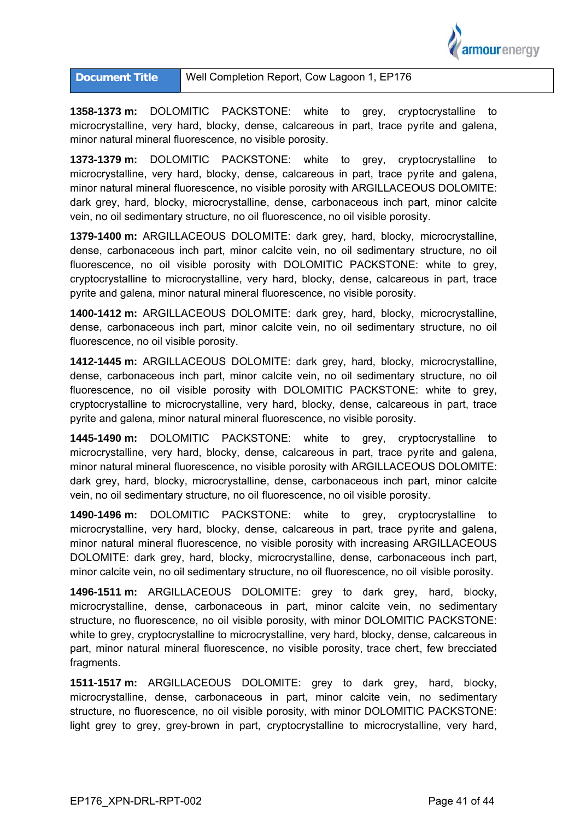

**1358-1373 m:** DOLOMITIC PACKSTONE: white to grey, cryptocrystalline to microcrystalline, very hard, blocky, dense, calcareous in part, trace pyrite and galena, minor natural mineral fluorescence, no visible porosity.

**1373-1379 m:** DOLOMITIC PACKSTONE: white to grey, cryptocrystalline to microcrystalline, very hard, blocky, dense, calcareous in part, trace pyrite and galena, minor natural mineral fluorescence, no visible porosity with ARGILLACEOUS DOLOMITE: dark grey, hard, blocky, microcrystalline, dense, carbonaceous inch part, minor calcite vein, no oil sedimentary structure, no oil fluorescence, no oil visible porosity.

1379-1400 m: ARGILLACEOUS DOLOMITE: dark grey, hard, blocky, microcrystalline, dense, carbonaceous inch part, minor calcite vein, no oil sedimentary structure, no oil fluorescence, no oil visible porosity with DOLOMITIC PACKSTONE: white to grey, cryptocrystalline to microcrystalline, very hard, blocky, dense, calcareous in part, trace pyrite and galena, minor natural mineral fluorescence, no visible porosity.

1400-1412 m: ARGILLACEOUS DOLOMITE: dark grey, hard, blocky, microcrystalline, dense, carbonaceous inch part, minor calcite vein, no oil sedimentary structure, no oil fluorescence, no oil visible porosity.

1412-1445 m: ARGILLACEOUS DOLOMITE: dark grey, hard, blocky, microcrystalline, dense, carbonaceous inch part, minor calcite vein, no oil sedimentary structure, no oil fluorescence, no oil visible porosity with DOLOMITIC PACKSTONE: white to grey, cryptocrystalline to microcrystalline, very hard, blocky, dense, calcareous in part, trace pyrite and galena, minor natural mineral fluorescence, no visible porosity.

**1445-1490 m:** DOLOMITIC PACKSTONE: white to grey, cryptocrystalline microcrystalline, very hard, blocky, dense, calcareous in part, trace pyrite and galena, minor natural mineral fluorescence, no visible porosity with ARGILLACEOUS DOLOMITE: dark grey, hard, blocky, microcrystalline, dense, carbonaceous inch part, minor calcite vein, no oil sedimentary structure, no oil fluorescence, no oil visible porosity. e to

**1490-1496 m:** DOLOMITIC PACKSTONE: white to grey, cryptocrystalline to microcrystalline, very hard, blocky, dense, calcareous in part, trace pyrite and galena, minor natural mineral fluorescence, no visible porosity with increasing ARGILLACEOUS DOLOMITE: dark grey, hard, blocky, microcrystalline, dense, carbonaceous inch part, minor calcite vein, no oil sedimentary structure, no oil fluorescence, no oil visible porosity.

1496-1511 m: ARGILLACEOUS DOLOMITE: grey to dark grey, hard, blocky, microcrystalline, dense, carbonaceous in part, minor calcite vein, no sedimentary structure, no fluorescence, no oil visible porosity, with minor DOLOMITIC PACKSTONE: white to grey, cryptocrystalline to microcrystalline, very hard, blocky, dense, calcareous in part, minor natural mineral fluorescence, no visible porosity, trace chert, few brecciated fragments.

**1511-1517 m:** ARGILLACEOUS DOLOMITE: grey to dark grey, hard, blocky, microcrystalline, dense, carbonaceous in part, minor calcite vein, no sedimentary structure, no fluorescence, no oil visible porosity, with minor DOLOMITIC PACKSTONE: light grey to grey, grey-brown in part, cryptocrystalline to microcrystalline, very hard,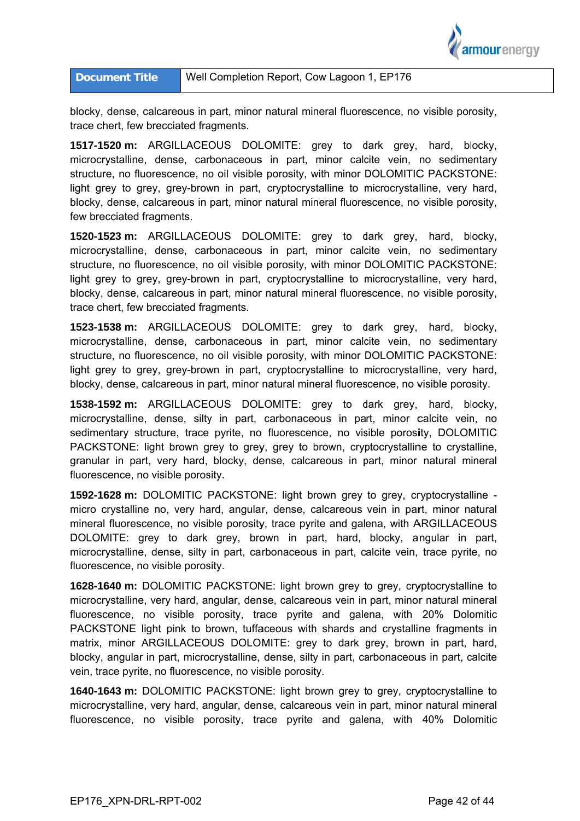

blocky, dense, calcareous in part, minor natural mineral fluorescence, no visible porosity, trace chert, few brecciated fragments.

**1517-1520 m:** ARGILLACEOUS DOLOMITE: grey to dark grey, hard, blocky, microcrystalline, dense, carbonaceous in part, minor calcite vein, no sedimentary structure, no fluorescence, no oil visible porosity, with minor DOLOMITIC PACKSTONE: light grey to grey, grey-brown in part, cryptocrystalline to microcrystalline, very hard, blocky, dense, calcareous in part, minor natural mineral fluorescence, no visible porosity, few brecciated fragments.

**1520-1523 m:** ARGILLACEOUS DOLOMITE: grey to dark grey, hard, blocky, microcrystalline, dense, carbonaceous in part, minor calcite vein, no sedimentary structure, no fluorescence, no oil visible porosity, with minor DOLOMITIC PACKSTONE: light grey to grey, grey-brown in part, cryptocrystalline to microcrystalline, very hard, blocky, dense, calcareous in part, minor natural mineral fluorescence, no visible porosity, trace chert, few brecciated fragments.

**1523-1538 m:** ARGILLACEOUS DOLOMITE: grey to dark grey, hard, blocky, microcrystalline, dense, carbonaceous in part, minor calcite vein, no sedimentary structure, no fluorescence, no oil visible porosity, with minor DOLOMITIC PACKSTONE: light grey to grey, grey-brown in part, cryptocrystalline to microcrystalline, very hard, blocky, dense, calcareous in part, minor natural mineral fluorescence, no visible porosity.

**1538-1592 m:** ARGILLACEOUS DOLOMITE: grey to dark grey, hard, blocky, microcrystalline, dense, silty in part, carbonaceous in part, minor calcite vein, no sedimentary structure, trace pyrite, no fluorescence, no visible porosity, DOLOMITIC PACKSTONE: light brown grey to grey, grey to brown, cryptocrystalline to crystalline, granular in part, very hard, blocky, dense, calcareous in part, minor natural mineral fluorescence, no visible porosity.

1592-1628 m: DOLOMITIC PACKSTONE: light brown grey to grey, cryptocrystalline micro crystalline no, very hard, angular, dense, calcareous vein in part, minor natural mineral fluorescence, no visible porosity, trace pyrite and galena, with ARGILLACEOUS DOLOMITE: grey to dark grey, brown in part, hard, blocky, angular in part, microcrystalline, dense, silty in part, carbonaceous in part, calcite vein, trace pyrite, no fluorescence, no visible porosity.

1628-1640 m: DOLOMITIC PACKSTONE: light brown grey to grey, cryptocrystalline to microcrystalline, very hard, angular, dense, calcareous vein in part, minor natural mineral fluorescence, no visible porosity, trace pyrite and galena, with 20% Dolomitic PACKSTONE light pink to brown, tuffaceous with shards and crystalline fragments in matrix, minor ARGILLACEOUS DOLOMITE: grey to dark grey, brown in part, hard, blocky, angular in part, microcrystalline, dense, silty in part, carbonaceous in part, calcite vein, trace pyrite, no fluorescence, no visible porosity.

**1640-1643 m:** DOLOMITIC PACKSTONE: light brown grey to grey, cryptocrystalline to microcrystalline, very hard, angular, dense, calcareous vein in part, minor natural mineral fluorescence, no visible porosity, trace pyrite and galena, with 40% Dolomitic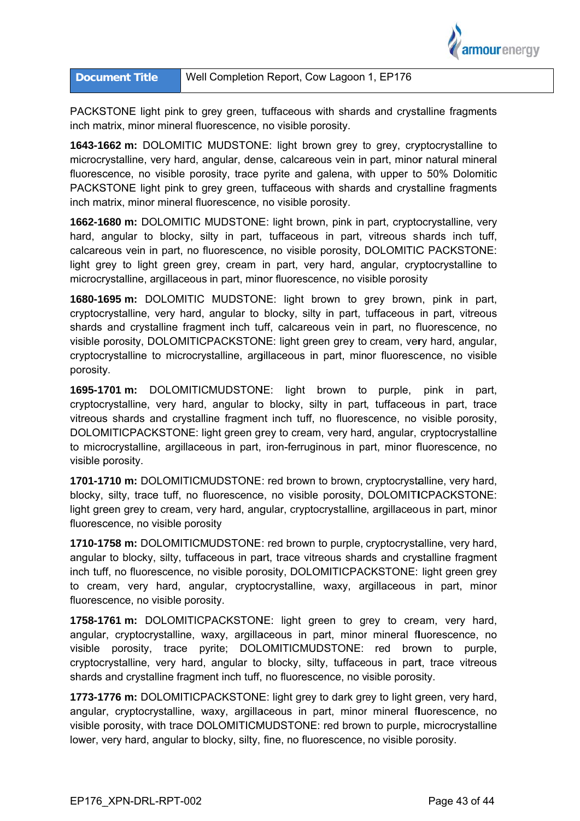

PACKSTONE light pink to grey green, tuffaceous with shards and crystalline fragments inch matrix, minor mineral fluorescence, no visible porosity.

**1643-1662 m:** DOLOMITIC MUDSTONE: light brown grey to grey, cryptocrystalline to microcrystalline, very hard, angular, dense, calcareous vein in part, minor natural mineral fluorescence, no visible porosity, trace pyrite and galena, with upper to 50% Dolomitic PACKSTONE light pink to grey green, tuffaceous with shards and crystalline fragments inch matrix, minor mineral fluorescence, no visible porosity.

**1662-1680 m:** DOLOMITIC MUDSTONE: light brown, pink in part, cryptocrystalline, very hard, angular to blocky, silty in part, tuffaceous in part, vitreous shards inch tuff, calcareous vein in part, no fluorescence, no visible porosity, DOLOMITIC PACKSTONE: light grey to light green grey, cream in part, very hard, angular, cryptocrystalline to microcrystalline, argillaceous in part, minor fluorescence, no visible porosity

**1680-1695 m:** DOLOMITIC MUDSTONE: light brown to grey brown, pink in part, cryptocrystalline, very hard, angular to blocky, silty in part, tuffaceous in part, vitreous shards and crystalline fragment inch tuff, calcareous vein in part, no fluorescence, no visible porosity, DOLOMITICPACKSTONE: light green grey to cream, very hard, angular, cryptocrystalline to microcrystalline, argillaceous in part, minor fluorescence, no visible porosity.

**1695-1701 m:** DOLOMITICMUDSTONE: light brown to purple, pink in part, cryptocrystalline, very hard, angular to blocky, silty in part, tuffaceous in part, trace vitreous shards and crystalline fragment inch tuff, no fluorescence, no visible porosity, DOLOMITICPACKSTONE: light green grey to cream, very hard, angular, cryptocrystalline to microcrystalline, argillaceous in part, iron-ferruginous in part, minor fluorescence, no visible p porosity.

**1701-1710 m:** DOLOMITICMUDSTONE: red brown to brown, cryptocrystalline, very hard, blocky, silty, trace tuff, no fluorescence, no visible porosity, DOLOMITICPACKSTONE: light green grey to cream, very hard, angular, cryptocrystalline, argillaceous in part, minor fluorescence, no visible porosity

**1710-1758 m:** DOLOMITICMUDSTONE: red brown to purple, cryptocrystalline, very hard, angular to blocky, silty, tuffaceous in part, trace vitreous shards and crystalline fragment inch tuff, no fluorescence, no visible porosity, DOLOMITICPACKSTONE: light green grey to cream, very hard, angular, cryptocrystalline, waxy, argillaceous in part, minor fluorescence, no visible porosity.

**1758-1761 m:** DOLOMITICPACKSTONE: light green to grey to cream, very hard, angular, cryptocrystalline, waxy, argillaceous in part, minor mineral fluorescence, no visible porosity, trace pyrite; DOLOMITICMUDSTONE: red brown to purple, cryptocrystalline, very hard, angular to blocky, silty, tuffaceous in part, trace vitreous shards and crystalline fragment inch tuff, no fluorescence, no visible porosity.

**1773-1776 m:** DOLOMITICPACKSTONE: light grey to dark grey to light green, very hard, angular, cryptocrystalline, waxy, argillaceous in part, minor mineral fluorescence, no visible porosity, with trace DOLOMITICMUDSTONE: red brown to purple, microcrystalline lower, very hard, angular to blocky, silty, fine, no fluorescence, no visible porosity.